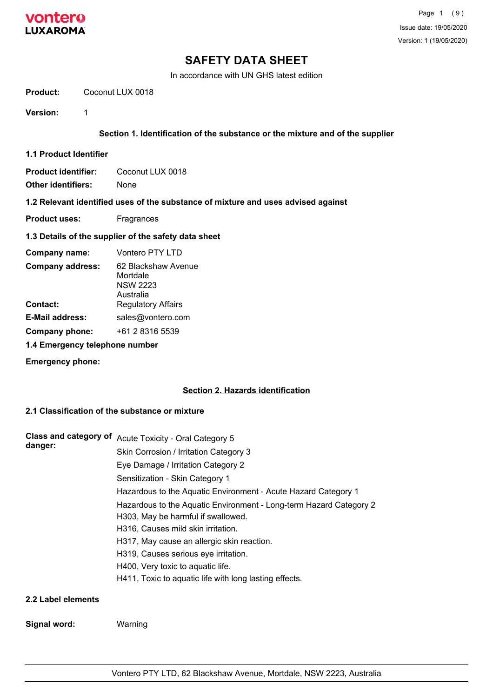

In accordance with UN GHS latest edition

**Product:** Coconut LUX 0018

**Version:** 1

### **Section 1. Identification of the substance or the mixture and of the supplier**

**1.1 Product Identifier**

**Product identifier:** Coconut LUX 0018

**Other identifiers:** None

#### **1.2 Relevant identified uses of the substance of mixture and uses advised against**

**Product uses:** Fragrances

#### **1.3 Details of the supplier of the safety data sheet**

| Company name:           | Vontero PTY LTD                                                 |
|-------------------------|-----------------------------------------------------------------|
| <b>Company address:</b> | 62 Blackshaw Avenue<br>Mortdale<br><b>NSW 2223</b><br>Australia |
| Contact:                | <b>Regulatory Affairs</b>                                       |
| <b>E-Mail address:</b>  | sales@vontero.com                                               |
| Company phone:          | +61 2 8316 5539                                                 |

### **1.4 Emergency telephone number**

**Emergency phone:**

#### **Section 2. Hazards identification**

## **2.1 Classification of the substance or mixture**

| <b>Class and category of</b> | Acute Toxicity - Oral Category 5                                   |
|------------------------------|--------------------------------------------------------------------|
| danger:                      | Skin Corrosion / Irritation Category 3                             |
|                              | Eye Damage / Irritation Category 2                                 |
|                              | Sensitization - Skin Category 1                                    |
|                              | Hazardous to the Aquatic Environment - Acute Hazard Category 1     |
|                              | Hazardous to the Aquatic Environment - Long-term Hazard Category 2 |
|                              | H303, May be harmful if swallowed.                                 |
|                              | H316, Causes mild skin irritation.                                 |
|                              | H317, May cause an allergic skin reaction.                         |
|                              | H319, Causes serious eye irritation.                               |
|                              | H400, Very toxic to aquatic life.                                  |
|                              | H411, Toxic to aquatic life with long lasting effects.             |
| 2.2 Label elements           |                                                                    |

#### **Signal word:** Warning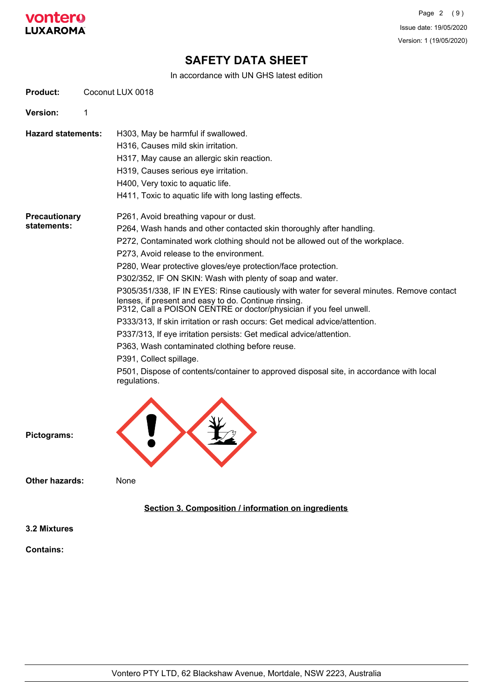

In accordance with UN GHS latest edition

| <b>Product:</b>              |   | Coconut LUX 0018                                                                                                                                                                                                                                                                                                                                                                                                                                                                                                                                                                                                                                                                                                                                                                                                                                                                                                                              |
|------------------------------|---|-----------------------------------------------------------------------------------------------------------------------------------------------------------------------------------------------------------------------------------------------------------------------------------------------------------------------------------------------------------------------------------------------------------------------------------------------------------------------------------------------------------------------------------------------------------------------------------------------------------------------------------------------------------------------------------------------------------------------------------------------------------------------------------------------------------------------------------------------------------------------------------------------------------------------------------------------|
| Version:                     | 1 |                                                                                                                                                                                                                                                                                                                                                                                                                                                                                                                                                                                                                                                                                                                                                                                                                                                                                                                                               |
| <b>Hazard statements:</b>    |   | H303, May be harmful if swallowed.<br>H316, Causes mild skin irritation.<br>H317, May cause an allergic skin reaction.<br>H319, Causes serious eye irritation.<br>H400, Very toxic to aquatic life.<br>H411, Toxic to aquatic life with long lasting effects.                                                                                                                                                                                                                                                                                                                                                                                                                                                                                                                                                                                                                                                                                 |
| Precautionary<br>statements: |   | P261, Avoid breathing vapour or dust.<br>P264, Wash hands and other contacted skin thoroughly after handling.<br>P272, Contaminated work clothing should not be allowed out of the workplace.<br>P273, Avoid release to the environment.<br>P280, Wear protective gloves/eye protection/face protection.<br>P302/352, IF ON SKIN: Wash with plenty of soap and water.<br>P305/351/338, IF IN EYES: Rinse cautiously with water for several minutes. Remove contact<br>lenses, if present and easy to do. Continue rinsing.<br>P312, Call a POISON CENTRE or doctor/physician if you feel unwell.<br>P333/313, If skin irritation or rash occurs: Get medical advice/attention.<br>P337/313, If eye irritation persists: Get medical advice/attention.<br>P363, Wash contaminated clothing before reuse.<br>P391, Collect spillage.<br>P501, Dispose of contents/container to approved disposal site, in accordance with local<br>regulations. |
| Pictograms:                  |   |                                                                                                                                                                                                                                                                                                                                                                                                                                                                                                                                                                                                                                                                                                                                                                                                                                                                                                                                               |

**Other hazards:** None

### **Section 3. Composition / information on ingredients**

**3.2 Mixtures**

**Contains:**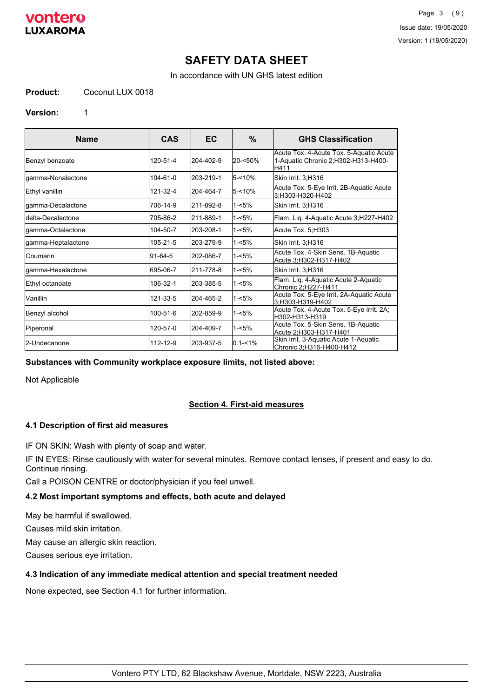

Page 3 (9) Issue date: 19/05/2020 Version: 1 (19/05/2020)

## **SAFETY DATA SHEET**

In accordance with UN GHS latest edition

#### **Product:** Coconut LUX 0018

#### **Version:** 1

| <b>Name</b>        | <b>CAS</b> | EC        | $\%$        | <b>GHS Classification</b>                                                              |
|--------------------|------------|-----------|-------------|----------------------------------------------------------------------------------------|
| Benzyl benzoate    | 120-51-4   | 204-402-9 | 20-<50%     | Acute Tox. 4-Acute Tox. 5-Aquatic Acute<br>1-Aquatic Chronic 2;H302-H313-H400-<br>H411 |
| gamma-Nonalactone  | 104-61-0   | 203-219-1 | $5 - 10%$   | Skin Irrit. 3;H316                                                                     |
| Ethyl vanillin     | 121-32-4   | 204-464-7 | $5 - 10%$   | Acute Tox. 5-Eye Irrit. 2B-Aquatic Acute<br>3;H303-H320-H402                           |
| gamma-Decalactone  | 706-14-9   | 211-892-8 | $1 - 5%$    | Skin Irrit. 3;H316                                                                     |
| ldelta-Decalactone | 705-86-2   | 211-889-1 | $1 - 5%$    | Flam. Liq. 4-Aquatic Acute 3;H227-H402                                                 |
| gamma-Octalactone  | 104-50-7   | 203-208-1 | 1-<5%       | Acute Tox. 5; H303                                                                     |
| gamma-Heptalactone | 105-21-5   | 203-279-9 | $1 - 5%$    | Skin Irrit. 3;H316                                                                     |
| lCoumarin          | 91-64-5    | 202-086-7 | $1 - 5%$    | Acute Tox. 4-Skin Sens. 1B-Aquatic<br>Acute 3, H302-H317-H402                          |
| gamma-Hexalactone  | 695-06-7   | 211-778-8 | $1 - 5%$    | Skin Irrit. 3;H316                                                                     |
| Ethyl octanoate    | 106-32-1   | 203-385-5 | 1-<5%       | Flam. Lig. 4-Aquatic Acute 2-Aquatic<br>Chronic 2:H227-H411                            |
| Vanillin           | 121-33-5   | 204-465-2 | $1 - 5%$    | Acute Tox. 5-Eye Irrit. 2A-Aquatic Acute<br>3:H303-H319-H402                           |
| Benzyl alcohol     | 100-51-6   | 202-859-9 | 1-<5%       | Acute Tox. 4-Acute Tox. 5-Eye Irrit. 2A;<br>H302-H313-H319                             |
| Piperonal          | 120-57-0   | 204-409-7 | l1-<5%      | Acute Tox. 5-Skin Sens. 1B-Aquatic<br>Acute 2;H303-H317-H401                           |
| 2-Undecanone       | 112-12-9   | 203-937-5 | $0.1 - 1\%$ | Skin Irrit. 3-Aquatic Acute 1-Aquatic<br>Chronic 3;H316-H400-H412                      |

#### **Substances with Community workplace exposure limits, not listed above:**

Not Applicable

#### **Section 4. First-aid measures**

#### **4.1 Description of first aid measures**

IF ON SKIN: Wash with plenty of soap and water.

IF IN EYES: Rinse cautiously with water for several minutes. Remove contact lenses, if present and easy to do. Continue rinsing.

Call a POISON CENTRE or doctor/physician if you feel unwell.

## **4.2 Most important symptoms and effects, both acute and delayed**

May be harmful if swallowed.

Causes mild skin irritation.

May cause an allergic skin reaction.

Causes serious eye irritation.

### **4.3 Indication of any immediate medical attention and special treatment needed**

None expected, see Section 4.1 for further information.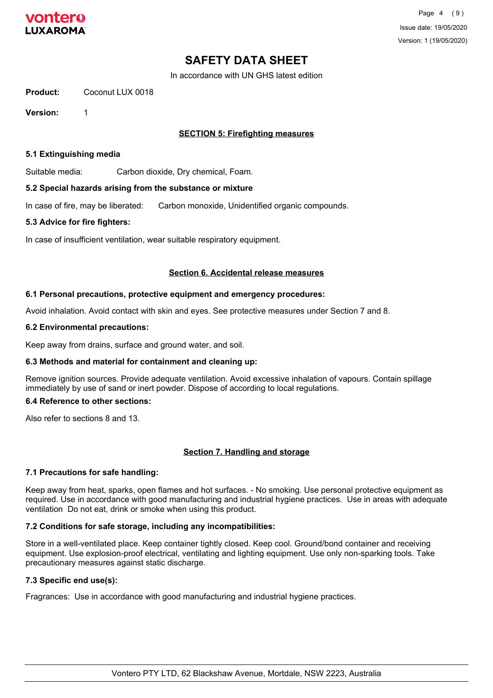

In accordance with UN GHS latest edition

#### **Product:** Coconut LUX 0018

**Version:** 1

### **SECTION 5: Firefighting measures**

#### **5.1 Extinguishing media**

Suitable media: Carbon dioxide, Dry chemical, Foam.

#### **5.2 Special hazards arising from the substance or mixture**

In case of fire, may be liberated: Carbon monoxide, Unidentified organic compounds.

#### **5.3 Advice for fire fighters:**

In case of insufficient ventilation, wear suitable respiratory equipment.

#### **Section 6. Accidental release measures**

#### **6.1 Personal precautions, protective equipment and emergency procedures:**

Avoid inhalation. Avoid contact with skin and eyes. See protective measures under Section 7 and 8.

#### **6.2 Environmental precautions:**

Keep away from drains, surface and ground water, and soil.

#### **6.3 Methods and material for containment and cleaning up:**

Remove ignition sources. Provide adequate ventilation. Avoid excessive inhalation of vapours. Contain spillage immediately by use of sand or inert powder. Dispose of according to local regulations.

#### **6.4 Reference to other sections:**

Also refer to sections 8 and 13.

#### **Section 7. Handling and storage**

#### **7.1 Precautions for safe handling:**

Keep away from heat, sparks, open flames and hot surfaces. - No smoking. Use personal protective equipment as required. Use in accordance with good manufacturing and industrial hygiene practices. Use in areas with adequate ventilation Do not eat, drink or smoke when using this product.

#### **7.2 Conditions for safe storage, including any incompatibilities:**

Store in a well-ventilated place. Keep container tightly closed. Keep cool. Ground/bond container and receiving equipment. Use explosion-proof electrical, ventilating and lighting equipment. Use only non-sparking tools. Take precautionary measures against static discharge.

#### **7.3 Specific end use(s):**

Fragrances: Use in accordance with good manufacturing and industrial hygiene practices.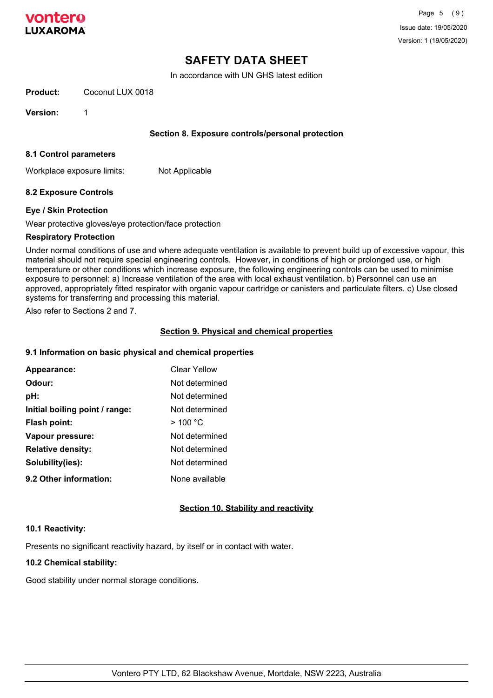

In accordance with UN GHS latest edition

**Product:** Coconut LUX 0018

**Version:** 1

#### **Section 8. Exposure controls/personal protection**

#### **8.1 Control parameters**

Workplace exposure limits: Not Applicable

#### **8.2 Exposure Controls**

#### **Eye / Skin Protection**

Wear protective gloves/eye protection/face protection

#### **Respiratory Protection**

Under normal conditions of use and where adequate ventilation is available to prevent build up of excessive vapour, this material should not require special engineering controls. However, in conditions of high or prolonged use, or high temperature or other conditions which increase exposure, the following engineering controls can be used to minimise exposure to personnel: a) Increase ventilation of the area with local exhaust ventilation. b) Personnel can use an approved, appropriately fitted respirator with organic vapour cartridge or canisters and particulate filters. c) Use closed systems for transferring and processing this material.

Also refer to Sections 2 and 7.

#### **Section 9. Physical and chemical properties**

#### **9.1 Information on basic physical and chemical properties**

| Appearance:                    | Clear Yellow   |
|--------------------------------|----------------|
| Odour:                         | Not determined |
| pH:                            | Not determined |
| Initial boiling point / range: | Not determined |
| Flash point:                   | $>$ 100 °C     |
| Vapour pressure:               | Not determined |
| <b>Relative density:</b>       | Not determined |
| Solubility(ies):               | Not determined |
| 9.2 Other information:         | None available |

#### **Section 10. Stability and reactivity**

#### **10.1 Reactivity:**

Presents no significant reactivity hazard, by itself or in contact with water.

#### **10.2 Chemical stability:**

Good stability under normal storage conditions.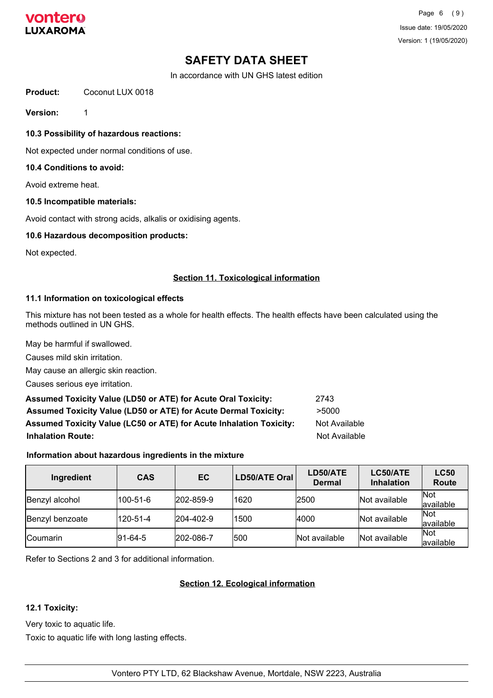

In accordance with UN GHS latest edition

**Product:** Coconut LUX 0018

**Version:** 1

**10.3 Possibility of hazardous reactions:**

Not expected under normal conditions of use.

#### **10.4 Conditions to avoid:**

Avoid extreme heat.

#### **10.5 Incompatible materials:**

Avoid contact with strong acids, alkalis or oxidising agents.

#### **10.6 Hazardous decomposition products:**

Not expected.

#### **Section 11. Toxicological information**

#### **11.1 Information on toxicological effects**

This mixture has not been tested as a whole for health effects. The health effects have been calculated using the methods outlined in UN GHS.

May be harmful if swallowed.

Causes mild skin irritation.

May cause an allergic skin reaction.

Causes serious eye irritation.

| <b>Assumed Toxicity Value (LD50 or ATE) for Acute Oral Toxicity:</b>   | 2743          |
|------------------------------------------------------------------------|---------------|
| <b>Assumed Toxicity Value (LD50 or ATE) for Acute Dermal Toxicity:</b> | >5000         |
| Assumed Toxicity Value (LC50 or ATE) for Acute Inhalation Toxicity:    | Not Available |
| <b>Inhalation Route:</b>                                               | Not Available |

#### **Information about hazardous ingredients in the mixture**

| Ingredient      | <b>CAS</b>  | EC               | LD50/ATE Oral | LD50/ATE<br><b>Dermal</b> | LC50/ATE<br><b>Inhalation</b> | <b>LC50</b><br>Route    |
|-----------------|-------------|------------------|---------------|---------------------------|-------------------------------|-------------------------|
| Benzyl alcohol  | 100-51-6    | $ 202 - 859 - 9$ | 1620          | 2500                      | Not available                 | <b>Not</b><br>available |
| Benzyl benzoate | 120-51-4    | 204-402-9        | 1500          | 4000                      | Not available                 | Not<br>available        |
| Coumarin        | $ 91-64-5 $ | 202-086-7        | 500           | <b>Not available</b>      | Not available                 | Not<br>lavailable       |

Refer to Sections 2 and 3 for additional information.

#### **Section 12. Ecological information**

#### **12.1 Toxicity:**

Very toxic to aquatic life.

Toxic to aquatic life with long lasting effects.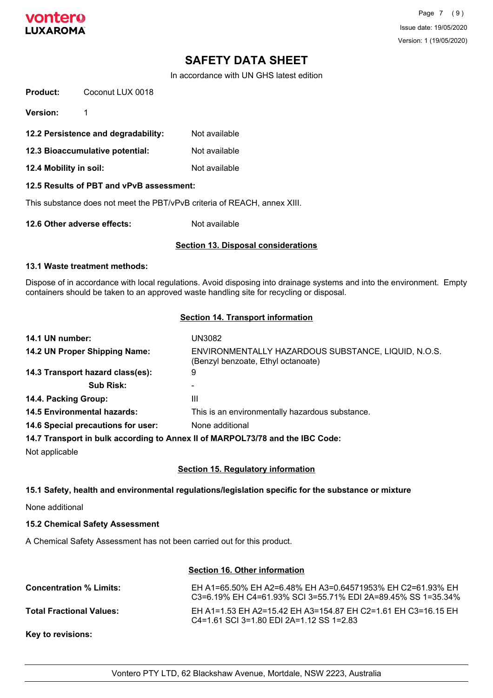

In accordance with UN GHS latest edition

| Product:                        | Coconut LUX 0018                         |                                                                          |
|---------------------------------|------------------------------------------|--------------------------------------------------------------------------|
| <b>Version:</b>                 | 1                                        |                                                                          |
|                                 | 12.2 Persistence and degradability:      | Not available                                                            |
| 12.3 Bioaccumulative potential: |                                          | Not available                                                            |
| 12.4 Mobility in soil:          |                                          | Not available                                                            |
|                                 | 12.5 Results of PBT and vPvB assessment: |                                                                          |
|                                 |                                          | This substance does not meet the PBT/vPvB criteria of REACH, annex XIII. |
| 12.6 Other adverse effects:     |                                          | Not available                                                            |
|                                 |                                          |                                                                          |

### **Section 13. Disposal considerations**

#### **13.1 Waste treatment methods:**

Dispose of in accordance with local regulations. Avoid disposing into drainage systems and into the environment. Empty containers should be taken to an approved waste handling site for recycling or disposal.

#### **Section 14. Transport information**

| 14.1 UN number:                    | UN3082                                                                                    |
|------------------------------------|-------------------------------------------------------------------------------------------|
| 14.2 UN Proper Shipping Name:      | ENVIRONMENTALLY HAZARDOUS SUBSTANCE, LIQUID, N.O.S.<br>(Benzyl benzoate, Ethyl octanoate) |
| 14.3 Transport hazard class(es):   | 9                                                                                         |
| <b>Sub Risk:</b>                   |                                                                                           |
| 14.4. Packing Group:               | Ш                                                                                         |
| <b>14.5 Environmental hazards:</b> | This is an environmentally hazardous substance.                                           |
| 14.6 Special precautions for user: | None additional                                                                           |
|                                    | 14.7 Transport in bulk according to Annex II of MARPOL73/78 and the IBC Code:             |

Not applicable

#### **Section 15. Regulatory information**

#### **15.1 Safety, health and environmental regulations/legislation specific for the substance or mixture**

None additional

#### **15.2 Chemical Safety Assessment**

A Chemical Safety Assessment has not been carried out for this product.

## **Section 16. Other information**

| <b>Concentration % Limits:</b>  | EH A1=65.50% EH A2=6.48% EH A3=0.64571953% EH C2=61.93% EH<br>C3=6.19% EH C4=61.93% SCI 3=55.71% EDI 2A=89.45% SS 1=35.34% |
|---------------------------------|----------------------------------------------------------------------------------------------------------------------------|
| <b>Total Fractional Values:</b> | EH A1=1.53 EH A2=15.42 EH A3=154.87 EH C2=1.61 EH C3=16.15 EH<br>C4=1.61 SCI 3=1.80 EDI 2A=1.12 SS 1=2.83                  |
| <b>Key to revisions:</b>        |                                                                                                                            |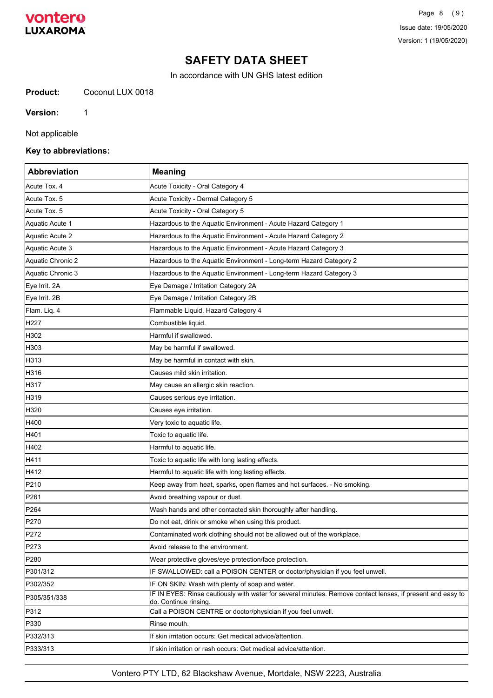## vontero **LUXAROMA**

# **SAFETY DATA SHEET**

In accordance with UN GHS latest edition

**Product:** Coconut LUX 0018

**Version:** 1

Not applicable

### **Key to abbreviations:**

| <b>Abbreviation</b> | <b>Meaning</b>                                                                                                                     |
|---------------------|------------------------------------------------------------------------------------------------------------------------------------|
| Acute Tox, 4        | Acute Toxicity - Oral Category 4                                                                                                   |
| Acute Tox. 5        | Acute Toxicity - Dermal Category 5                                                                                                 |
| Acute Tox. 5        | Acute Toxicity - Oral Category 5                                                                                                   |
| Aquatic Acute 1     | Hazardous to the Aquatic Environment - Acute Hazard Category 1                                                                     |
| Aquatic Acute 2     | Hazardous to the Aquatic Environment - Acute Hazard Category 2                                                                     |
| Aquatic Acute 3     | Hazardous to the Aquatic Environment - Acute Hazard Category 3                                                                     |
| Aquatic Chronic 2   | Hazardous to the Aquatic Environment - Long-term Hazard Category 2                                                                 |
| Aquatic Chronic 3   | Hazardous to the Aquatic Environment - Long-term Hazard Category 3                                                                 |
| Eye Irrit. 2A       | Eye Damage / Irritation Category 2A                                                                                                |
| Eye Irrit. 2B       | Eye Damage / Irritation Category 2B                                                                                                |
| Flam. Liq. 4        | Flammable Liquid, Hazard Category 4                                                                                                |
| H <sub>227</sub>    | Combustible liquid.                                                                                                                |
| H302                | Harmful if swallowed.                                                                                                              |
| H303                | May be harmful if swallowed.                                                                                                       |
| H313                | May be harmful in contact with skin.                                                                                               |
| H316                | Causes mild skin irritation.                                                                                                       |
| H317                | May cause an allergic skin reaction.                                                                                               |
| H319                | Causes serious eye irritation.                                                                                                     |
| H320                | Causes eye irritation.                                                                                                             |
| H400                | Very toxic to aquatic life.                                                                                                        |
| H401                | Toxic to aquatic life.                                                                                                             |
| H402                | Harmful to aquatic life.                                                                                                           |
| H411                | Toxic to aquatic life with long lasting effects.                                                                                   |
| H412                | Harmful to aquatic life with long lasting effects.                                                                                 |
| P210                | Keep away from heat, sparks, open flames and hot surfaces. - No smoking.                                                           |
| P261                | Avoid breathing vapour or dust.                                                                                                    |
| P <sub>264</sub>    | Wash hands and other contacted skin thoroughly after handling.                                                                     |
| P270                | Do not eat, drink or smoke when using this product.                                                                                |
| P272                | Contaminated work clothing should not be allowed out of the workplace.                                                             |
| P273                | Avoid release to the environment.                                                                                                  |
| P280                | Wear protective gloves/eye protection/face protection.                                                                             |
| P301/312            | IF SWALLOWED: call a POISON CENTER or doctor/physician if you feel unwell.                                                         |
| P302/352            | IF ON SKIN: Wash with plenty of soap and water.                                                                                    |
| P305/351/338        | IF IN EYES: Rinse cautiously with water for several minutes. Remove contact lenses, if present and easy to<br>do. Continue rinsing |
| P312                | Call a POISON CENTRE or doctor/physician if you feel unwell.                                                                       |
| P330                | Rinse mouth.                                                                                                                       |
| P332/313            | If skin irritation occurs: Get medical advice/attention.                                                                           |
| P333/313            | If skin irritation or rash occurs: Get medical advice/attention.                                                                   |

Vontero PTY LTD, 62 Blackshaw Avenue, Mortdale, NSW 2223, Australia